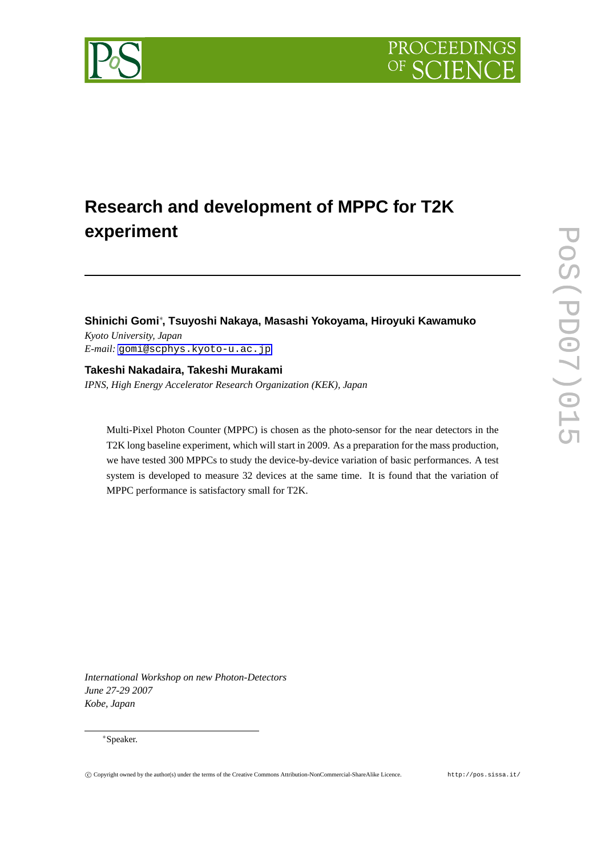

# **Shinichi Gomi***∗* **, Tsuyoshi Nakaya, Masashi Yokoyama, Hiroyuki Kawamuko** *Kyoto University, Japan E-mail:* [gomi@scphys.kyoto-u.ac.jp](mailto:gomi@scphys.kyoto-u.ac.jp)

**Takeshi Nakadaira, Takeshi Murakami** *IPNS, High Energy Accelerator Research Organization (KEK), Japan*

Multi-Pixel Photon Counter (MPPC) is chosen as the photo-sensor for the near detectors in the T2K long baseline experiment, which will start in 2009. As a preparation for the mass production, we have tested 300 MPPCs to study the device-by-device variation of basic performances. A test system is developed to measure 32 devices at the same time. It is found that the variation of MPPC performance is satisfactory small for T2K.

*International Workshop on new Photon-Detectors June 27-29 2007 Kobe, Japan*

#### *∗*Speaker.

PROCEEDIN

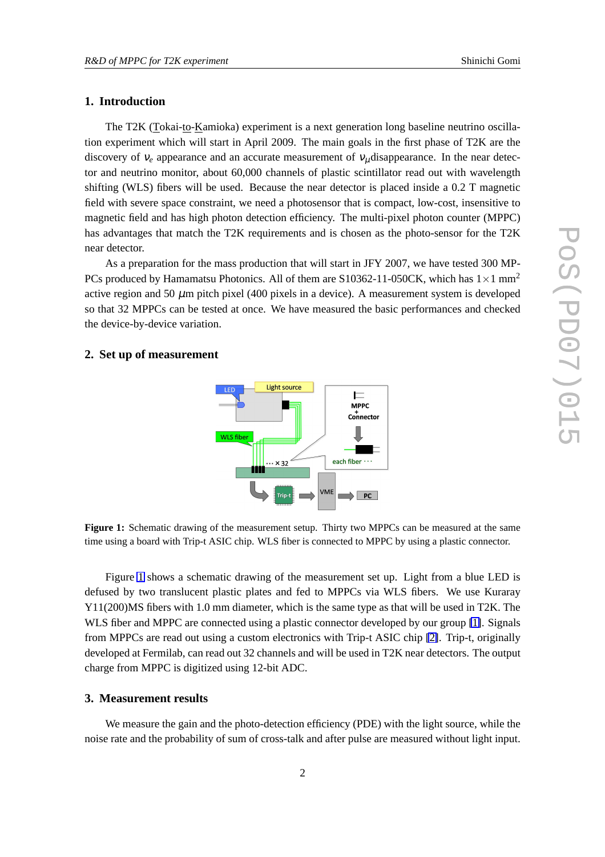# **1. Introduction**

The T2K (Tokai-to-Kamioka) experiment is a next generation long baseline neutrino oscillation experiment which will start in April 2009. The main goals in the first phase of T2K are the discovery of  $v_e$  appearance and an accurate measurement of  $v_\mu$ disappearance. In the near detector and neutrino monitor, about 60,000 channels of plastic scintillator read out with wavelength shifting (WLS) fibers will be used. Because the near detector is placed inside a 0.2 T magnetic field with severe space constraint, we need a photosensor that is compact, low-cost, insensitive to magnetic field and has high photon detection efficiency. The multi-pixel photon counter (MPPC) has advantages that match the T2K requirements and is chosen as the photo-sensor for the T2K near detector.

As a preparation for the mass production that will start in JFY 2007, we have tested 300 MP-PCs produced by Hamamatsu Photonics. All of them are S10362-11-050CK, which has 1*×*1 mm<sup>2</sup> active region and 50  $\mu$ m pitch pixel (400 pixels in a device). A measurement system is developed so that 32 MPPCs can be tested at once. We have measured the basic performances and checked the device-by-device variation.

### **2. Set up of measurement**



**Figure 1:** Schematic drawing of the measurement setup. Thirty two MPPCs can be measured at the same time using a board with Trip-t ASIC chip. WLS fiber is connected to MPPC by using a plastic connector.

Figure 1 shows a schematic drawing of the measurement set up. Light from a blue LED is defused by two translucent plastic plates and fed to MPPCs via WLS fibers. We use Kuraray Y11(200)MS fibers with 1.0 mm diameter, which is the same type as that will be used in T2K. The WLS fiber and MPPC are connected using a plastic connector developed by our group [\[1\]](#page-5-0). Signals from MPPCs are read out using a custom electronics with Trip-t ASIC chip [\[2\]](#page-5-0). Trip-t, originally developed at Fermilab, can read out 32 channels and will be used in T2K near detectors. The output charge from MPPC is digitized using 12-bit ADC.

# **3. Measurement results**

We measure the gain and the photo-detection efficiency (PDE) with the light source, while the noise rate and the probability of sum of cross-talk and after pulse are measured without light input.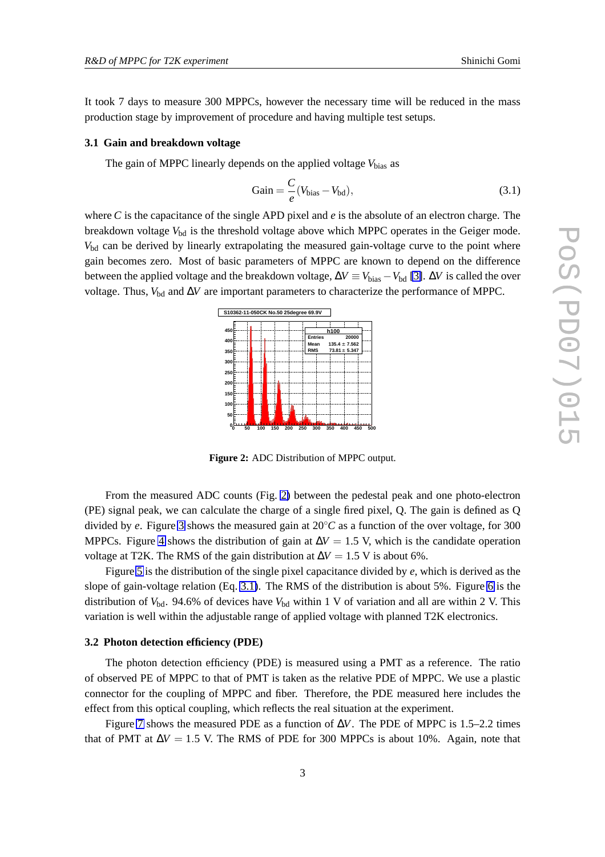It took 7 days to measure 300 MPPCs, however the necessary time will be reduced in the mass production stage by improvement of procedure and having multiple test setups.

#### **3.1 Gain and breakdown voltage**

The gain of MPPC linearly depends on the applied voltage  $V_{bias}$  as

$$
Gain = \frac{C}{e}(V_{bias} - V_{bd}),
$$
\n(3.1)

where *C* is the capacitance of the single APD pixel and *e* is the absolute of an electron charge. The breakdown voltage V<sub>bd</sub> is the threshold voltage above which MPPC operates in the Geiger mode.  $V_{\text{bd}}$  can be derived by linearly extrapolating the measured gain-voltage curve to the point where gain becomes zero. Most of basic parameters of MPPC are known to depend on the difference between the applied voltage and the breakdown voltage,  $\Delta V \equiv V_{bias} - V_{bd}$  [\[3\]](#page-5-0).  $\Delta V$  is called the over voltage. Thus, *V*bd and ∆*V* are important parameters to characterize the performance of MPPC.



**Figure 2:** ADC Distribution of MPPC output.

From the measured ADC counts (Fig. 2) between the pedestal peak and one photo-electron (PE) signal peak, we can calculate the charge of a single fired pixel, Q. The gain is defined as Q divided by *e*. Figure [3](#page-3-0) shows the measured gain at 20*◦C* as a function of the over voltage, for 300 MPPCs. Figure [4](#page-3-0) shows the distribution of gain at  $\Delta V = 1.5$  V, which is the candidate operation voltage at T2K. The RMS of the gain distribution at  $\Delta V = 1.5$  V is about 6%.

Figure [5](#page-3-0) is the distribution of the single pixel capacitance divided by *e*, which is derived as the slope of gain-voltage relation (Eq. 3.1). The RMS of the distribution is about 5%. Figure [6](#page-3-0) is the distribution of  $V_{\text{bd}}$ . 94.6% of devices have  $V_{\text{bd}}$  within 1 V of variation and all are within 2 V. This variation is well within the adjustable range of applied voltage with planned T2K electronics.

#### **3.2 Photon detection efficiency (PDE)**

The photon detection efficiency (PDE) is measured using a PMT as a reference. The ratio of observed PE of MPPC to that of PMT is taken as the relative PDE of MPPC. We use a plastic connector for the coupling of MPPC and fiber. Therefore, the PDE measured here includes the effect from this optical coupling, which reflects the real situation at the experiment.

Figure [7](#page-3-0) shows the measured PDE as a function of  $\Delta V$ . The PDE of MPPC is 1.5–2.2 times that of PMT at  $\Delta V = 1.5$  V. The RMS of PDE for 300 MPPCs is about 10%. Again, note that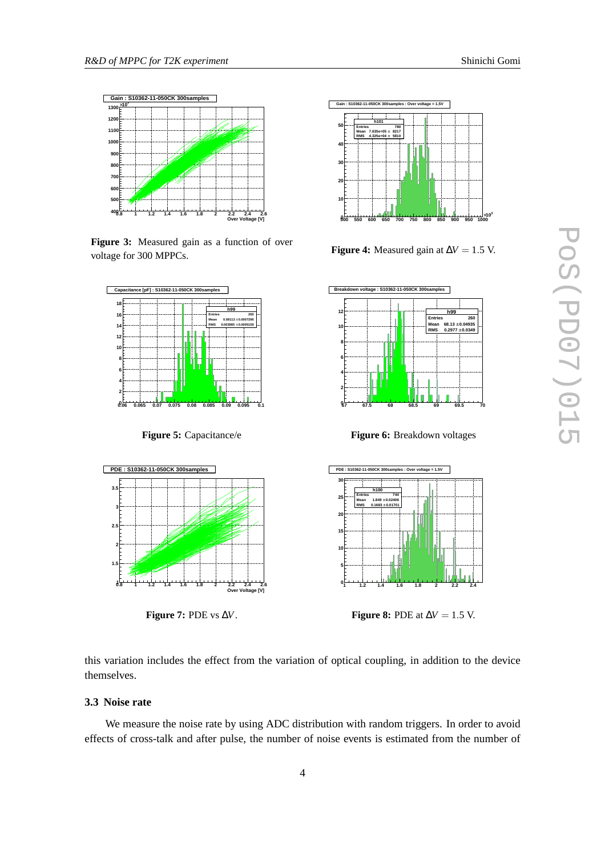<span id="page-3-0"></span>

**Figure 3:** Measured gain as a function of over voltage for 300 MPPCs.



**Figure 5:** Capacitance/e



**Figure 7:** PDE vs ∆*V*.



**Figure 4:** Measured gain at  $\Delta V = 1.5$  V.



**Figure 6:** Breakdown voltages



**Figure 8:** PDE at  $\Delta V = 1.5$  V.

this variation includes the effect from the variation of optical coupling, in addition to the device themselves.

## **3.3 Noise rate**

We measure the noise rate by using ADC distribution with random triggers. In order to avoid effects of cross-talk and after pulse, the number of noise events is estimated from the number of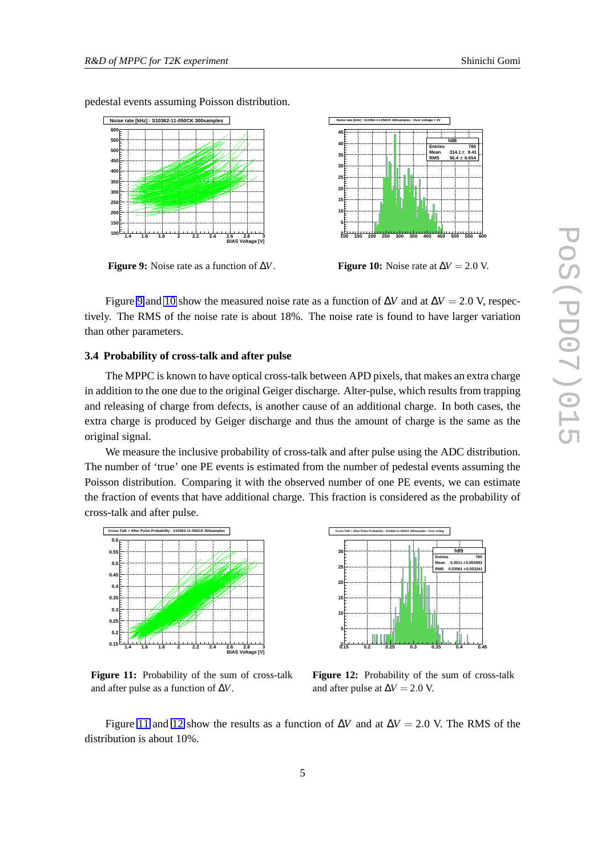pedestal events assuming Poisson distribution.



**Figure 9:** Noise rate as a function of ∆*V*.



Figure 9 and 10 show the measured noise rate as a function of  $\Delta V$  and at  $\Delta V = 2.0$  V, respectively. The RMS of the noise rate is about 18%. The noise rate is found to have larger variation than other parameters.

#### **3.4 Probability of cross-talk and after pulse**

The MPPC is known to have optical cross-talk between APD pixels, that makes an extra charge in addition to the one due to the original Geiger discharge. Alter-pulse, which results from trapping and releasing of charge from defects, is another cause of an additional charge. In both cases, the extra charge is produced by Geiger discharge and thus the amount of charge is the same as the original signal.

We measure the inclusive probability of cross-talk and after pulse using the ADC distribution. The number of 'true' one PE events is estimated from the number of pedestal events assuming the Poisson distribution. Comparing it with the observed number of one PE events, we can estimate the fraction of events that have additional charge. This fraction is considered as the probability of cross-talk and after pulse.



Figure 11: Probability of the sum of cross-talk and after pulse as a function of ∆*V*.



**Figure 12:** Probability of the sum of cross-talk and after pulse at  $\Delta V = 2.0$  V.

Figure 11 and 12 show the results as a function of  $\Delta V$  and at  $\Delta V = 2.0$  V. The RMS of the distribution is about 10%.